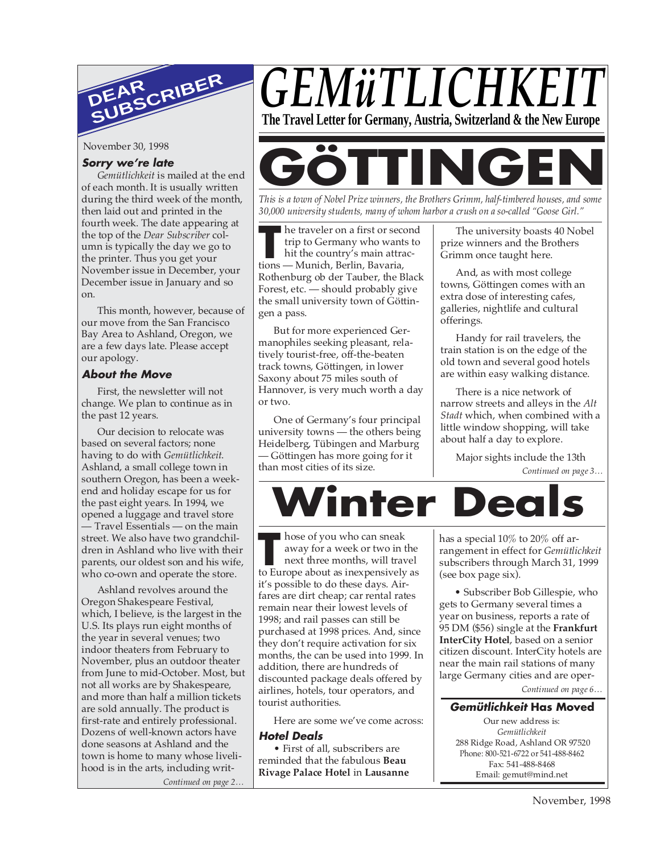

November 30, 1998

#### **Sorry we're late**

*Gemütlichkeit* is mailed at the end of each month. It is usually written during the third week of the month, then laid out and printed in the fourth week. The date appearing at the top of the *Dear Subscriber* column is typically the day we go to the printer. Thus you get your November issue in December, your December issue in January and so on.

This month, however, because of our move from the San Francisco Bay Area to Ashland, Oregon, we are a few days late. Please accept our apology.

#### **About the Move**

First, the newsletter will not change. We plan to continue as in the past 12 years.

Our decision to relocate was based on several factors; none having to do with *Gemütlichkeit*. Ashland, a small college town in southern Oregon, has been a weekend and holiday escape for us for the past eight years. In 1994, we opened a luggage and travel store — Travel Essentials — on the main street. We also have two grandchildren in Ashland who live with their parents, our oldest son and his wife, who co-own and operate the store.

Ashland revolves around the Oregon Shakespeare Festival, which, I believe, is the largest in the U.S. Its plays run eight months of the year in several venues; two indoor theaters from February to November, plus an outdoor theater from June to mid-October. Most, but not all works are by Shakespeare, and more than half a million tickets are sold annually. The product is first-rate and entirely professional. Dozens of well-known actors have done seasons at Ashland and the town is home to many whose livelihood is in the arts, including writ-*Continued on page 2…*





*This is a town of Nobel Prize winners, the Brothers Grimm, half-timbered houses, and some 30,000 university students, many of whom harbor a crush on a so-called "Goose Girl."*

**THE EXECUTE IS A THE EXECUTE IS A THE EXECUTE IS A THE EXECUTE IS A THE EXECUTION OF THE EXECUTION AND THE EXECUTION SET IS A THE SERVICE IS A THE SERVICE IS A THE SERVICE IS A THE SERVICE IS A THE SERVICE IS A THE SERVIC** he traveler on a first or second trip to Germany who wants to hit the country's main attrac-Rothenburg ob der Tauber, the Black Forest, etc. — should probably give the small university town of Göttingen a pass.

But for more experienced Germanophiles seeking pleasant, relatively tourist-free, off-the-beaten track towns, Göttingen, in lower Saxony about 75 miles south of Hannover, is very much worth a day or two.

One of Germany's four principal university towns — the others being Heidelberg, Tübingen and Marburg — Göttingen has more going for it than most cities of its size.

The university boasts 40 Nobel prize winners and the Brothers Grimm once taught here.

And, as with most college towns, Göttingen comes with an extra dose of interesting cafes, galleries, nightlife and cultural offerings.

Handy for rail travelers, the train station is on the edge of the old town and several good hotels are within easy walking distance.

There is a nice network of narrow streets and alleys in the *Alt Stadt* which, when combined with a little window shopping, will take about half a day to explore.

*Continued on page 3…* Major sights include the 13th



■ hose of you who can sneak away for a week or two in the next three months, will travel hose of you who can sneak<br>
away for a week or two in the<br>
next three months, will travel<br>
to Europe about as inexpensively as it's possible to do these days. Airfares are dirt cheap; car rental rates remain near their lowest levels of 1998; and rail passes can still be purchased at 1998 prices. And, since they don't require activation for six months, the can be used into 1999. In addition, there are hundreds of discounted package deals offered by airlines, hotels, tour operators, and tourist authorities.

Here are some we've come across:

#### **Hotel Deals**

• First of all, subscribers are reminded that the fabulous **Beau Rivage Palace Hotel** in **Lausanne** has a special 10% to 20% off arrangement in effect for *Gemütlichkeit* subscribers through March 31, 1999 (see box page six).

• Subscriber Bob Gillespie, who gets to Germany several times a year on business, reports a rate of 95 DM (\$56) single at the **Frankfurt InterCity Hotel**, based on a senior citizen discount. InterCity hotels are near the main rail stations of many large Germany cities and are oper-

*Continued on page 6…*

#### **Gemütlichkeit Has Moved**

Our new address is: *Gemütlichkeit* 288 Ridge Road, Ashland OR 97520 Phone: 800-521-6722 or 541-488-8462 Fax: 541-488-8468 Email: gemut@mind.net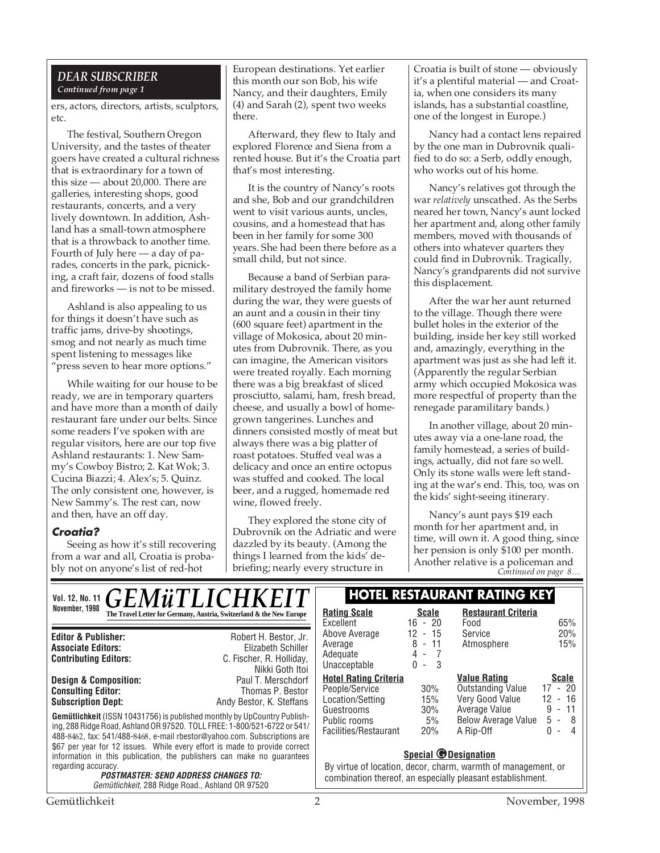#### *DEAR SUBSCRIBER Continued from page 1*

ers, actors, directors, artists, sculptors, etc.

The festival, Southern Oregon University, and the tastes of theater goers have created a cultural richness that is extraordinary for a town of this size — about 20,000. There are galleries, interesting shops, good restaurants, concerts, and a very lively downtown. In addition, Ashland has a small-town atmosphere that is a throwback to another time. Fourth of July here — a day of parades, concerts in the park, picnicking, a craft fair, dozens of food stalls and fireworks — is not to be missed.

Ashland is also appealing to us for things it doesn't have such as traffic jams, drive-by shootings, smog and not nearly as much time spent listening to messages like "press seven to hear more options."

While waiting for our house to be ready, we are in temporary quarters and have more than a month of daily restaurant fare under our belts. Since some readers I've spoken with are regular visitors, here are our top five Ashland restaurants: 1. New Sammy's Cowboy Bistro; 2. Kat Wok; 3. Cucina Biazzi; 4. Alex's; 5. Quinz. The only consistent one, however, is New Sammy's. The rest can, now and then, have an off day.

#### **Croatia?**

Seeing as how it's still recovering from a war and all, Croatia is probably not on anyone's list of red-hot

European destinations. Yet earlier this month our son Bob, his wife Nancy, and their daughters, Emily (4) and Sarah (2), spent two weeks there.

Afterward, they flew to Italy and explored Florence and Siena from a rented house. But it's the Croatia part that's most interesting.

It is the country of Nancy's roots and she, Bob and our grandchildren went to visit various aunts, uncles, cousins, and a homestead that has been in her family for some 300 years. She had been there before as a small child, but not since.

Because a band of Serbian paramilitary destroyed the family home during the war, they were guests of an aunt and a cousin in their tiny (600 square feet) apartment in the village of Mokosica, about 20 minutes from Dubrovnik. There, as you can imagine, the American visitors were treated royally. Each morning there was a big breakfast of sliced prosciutto, salami, ham, fresh bread, cheese, and usually a bowl of homegrown tangerines. Lunches and dinners consisted mostly of meat but always there was a big platter of roast potatoes. Stuffed veal was a delicacy and once an entire octopus was stuffed and cooked. The local beer, and a rugged, homemade red wine, flowed freely.

They explored the stone city of Dubrovnik on the Adriatic and were dazzled by its beauty. (Among the things I learned from the kids' debriefing; nearly every structure in

Croatia is built of stone — obviously it's a plentiful material — and Croatia, when one considers its many islands, has a substantial coastline, one of the longest in Europe.)

Nancy had a contact lens repaired by the one man in Dubrovnik qualified to do so: a Serb, oddly enough, who works out of his home.

Nancy's relatives got through the war *relatively* unscathed. As the Serbs neared her town, Nancy's aunt locked her apartment and, along other family members, moved with thousands of others into whatever quarters they could find in Dubrovnik. Tragically, Nancy's grandparents did not survive this displacement.

After the war her aunt returned to the village. Though there were bullet holes in the exterior of the building, inside her key still worked and, amazingly, everything in the apartment was just as she had left it. (Apparently the regular Serbian army which occupied Mokosica was more respectful of property than the renegade paramilitary bands.)

In another village, about 20 minutes away via a one-lane road, the family homestead, a series of buildings, actually, did not fare so well. Only its stone walls were left standing at the war's end. This, too, was on the kids' sight-seeing itinerary.

*Continued on page 8…* Nancy's aunt pays \$19 each month for her apartment and, in time, will own it. A good thing, since her pension is only \$100 per month. Another relative is a policeman and

| Vol. 12, No. 11 $\overline{GEMWTLICHKEIT}$                                                                                                                                                                                                                                                                                                                                                                                             |                                                                                                                                                       | <b>HOTEL RESTAURANT RATING KEY</b>                                                                                                                                                                                                            |                                                                                 |                                                                                                            |                                                                  |
|----------------------------------------------------------------------------------------------------------------------------------------------------------------------------------------------------------------------------------------------------------------------------------------------------------------------------------------------------------------------------------------------------------------------------------------|-------------------------------------------------------------------------------------------------------------------------------------------------------|-----------------------------------------------------------------------------------------------------------------------------------------------------------------------------------------------------------------------------------------------|---------------------------------------------------------------------------------|------------------------------------------------------------------------------------------------------------|------------------------------------------------------------------|
| November, 1998                                                                                                                                                                                                                                                                                                                                                                                                                         | The Travel Letter for Germany, Austria, Switzerland & the New Europe                                                                                  | <b>Rating Scale</b><br>Excellent                                                                                                                                                                                                              | <b>Scale</b><br>$16 - 20$                                                       | <b>Restaurant Criteria</b><br>Food                                                                         | 65%                                                              |
| <b>Editor &amp; Publisher:</b><br><b>Associate Editors:</b><br><b>Contributing Editors:</b>                                                                                                                                                                                                                                                                                                                                            | Robert H. Bestor, Jr.<br>Elizabeth Schiller<br>C. Fischer, R. Holliday,<br>Nikki Goth Itoi                                                            | Above Average<br>Average<br>Adequate<br>Unacceptable                                                                                                                                                                                          | 12<br>$-15$<br>8<br>$-11$<br>4<br>$\sim$<br>-3<br>0<br>$\overline{\phantom{a}}$ | Service<br>Atmosphere                                                                                      | 20%<br>15%                                                       |
| <b>Design &amp; Composition:</b><br><b>Consulting Editor:</b><br><b>Subscription Dept:</b>                                                                                                                                                                                                                                                                                                                                             | Paul T. Merschdorf<br>Thomas P. Bestor<br>Andy Bestor, K. Steffans<br><b>Gemütlichkeit</b> (ISSN 10431756) is published monthly by UpCountry Publish- | <b>Hotel Rating Criteria</b><br>People/Service<br>Location/Setting<br>Guestrooms<br>Public rooms                                                                                                                                              | 30%<br>15%<br>30%<br>5%                                                         | <b>Value Rating</b><br>Outstanding Value<br>Very Good Value<br>Average Value<br><b>Below Average Value</b> | <b>Scale</b><br>17 - 20<br>12<br>$-16$<br>$-11$<br>9<br>5<br>- 8 |
| ing, 288 Ridge Road, Ashland OR 97520. TOLL FREE: 1-800/521-6722 or 541/<br>488-8462, fax: 541/488-8468, e-mail rbestor@yahoo.com. Subscriptions are<br>\$67 per year for 12 issues. While every effort is made to provide correct<br>information in this publication, the publishers can make no guarantees<br>regarding accuracy.<br><b>POSTMASTER: SEND ADDRESS CHANGES TO:</b><br>Gemütlichkeit, 288 Ridge Road., Ashland OR 97520 |                                                                                                                                                       | Facilities/Restaurant<br>20%<br>A Rip-Off<br>n<br>4<br>$\overline{\phantom{a}}$<br><b>Special @Designation</b><br>By virtue of location, decor, charm, warmth of management, or<br>combination thereof, an especially pleasant establishment. |                                                                                 |                                                                                                            |                                                                  |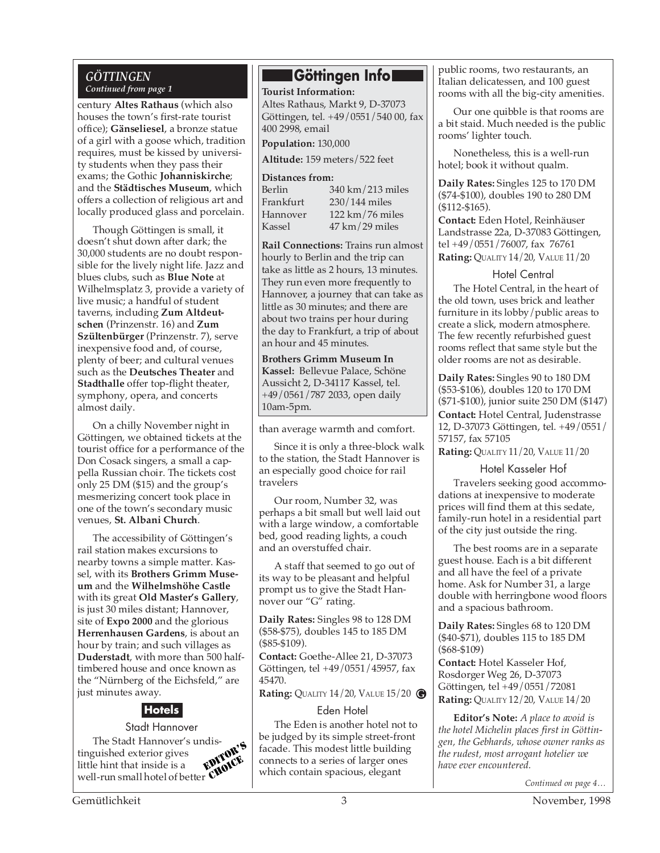#### *GÖTTINGEN Continued from page 1*

century **Altes Rathaus** (which also houses the town's first-rate tourist office); **Gänseliesel**, a bronze statue of a girl with a goose which, tradition requires, must be kissed by university students when they pass their exams; the Gothic **Johanniskirche**; and the **Städtisches Museum**, which offers a collection of religious art and locally produced glass and porcelain.

Though Göttingen is small, it doesn't shut down after dark; the 30,000 students are no doubt responsible for the lively night life. Jazz and blues clubs, such as **Blue Note** at Wilhelmsplatz 3, provide a variety of live music; a handful of student taverns, including **Zum Altdeutschen** (Prinzenstr. 16) and **Zum Szültenbürger** (Prinzenstr. 7), serve inexpensive food and, of course, plenty of beer; and cultural venues such as the **Deutsches Theater** and **Stadthalle** offer top-flight theater, symphony, opera, and concerts almost daily.

On a chilly November night in Göttingen, we obtained tickets at the tourist office for a performance of the Don Cosack singers, a small a cappella Russian choir. The tickets cost only 25 DM (\$15) and the group's mesmerizing concert took place in one of the town's secondary music venues, **St. Albani Church**.

The accessibility of Göttingen's rail station makes excursions to nearby towns a simple matter. Kassel, with its **Brothers Grimm Museum** and the **Wilhelmshöhe Castle** with its great **Old Master's Gallery**, is just 30 miles distant; Hannover, site of **Expo 2000** and the glorious **Herrenhausen Gardens**, is about an hour by train; and such villages as **Duderstadt**, with more than 500 halftimbered house and once known as the "Nürnberg of the Eichsfeld," are just minutes away.

## **Hotels**

Stadt Hannover The Stadt Hannover's undis-<br>guished exterior gives<br>the hint that incident with the state of the state of the state of the state of the state of the state of the state of the state of the state of the state of the state of tinguished exterior gives little hint that inside is a well-run small hotel of better

### **Göttingen Info**

**Tourist Information:** Altes Rathaus, Markt 9, D-37073 Göttingen, tel. +49/0551/540 00, fax 400 2998, email

**Population:** 130,000

**Altitude:** 159 meters/522 feet

#### **Distances from:**

| Berlin    | $340 \mathrm{km}/213 \mathrm{miles}$ |
|-----------|--------------------------------------|
| Frankfurt | $230/144$ miles                      |
| Hannover  | 122 km/76 miles                      |
| Kassel    | $47 \text{ km} / 29 \text{ miles}$   |

**Rail Connections:** Trains run almost hourly to Berlin and the trip can take as little as 2 hours, 13 minutes. They run even more frequently to Hannover, a journey that can take as little as 30 minutes; and there are about two trains per hour during the day to Frankfurt, a trip of about an hour and 45 minutes.

**Brothers Grimm Museum In Kassel:** Bellevue Palace, Schöne Aussicht 2, D-34117 Kassel, tel. +49/0561/787 2033, open daily 10am-5pm.

than average warmth and comfort.

Since it is only a three-block walk to the station, the Stadt Hannover is an especially good choice for rail travelers

Our room, Number 32, was perhaps a bit small but well laid out with a large window, a comfortable bed, good reading lights, a couch and an overstuffed chair.

A staff that seemed to go out of its way to be pleasant and helpful prompt us to give the Stadt Hannover our "G" rating.

**Daily Rates:** Singles 98 to 128 DM (\$58-\$75), doubles 145 to 185 DM (\$85-\$109).

**Contact:** Goethe-Allee 21, D-37073 Göttingen, tel +49/0551/45957, fax 45470.

**Rating:** QUALITY 14/20, VALUE 15/20 **G**

#### Eden Hotel

The Eden is another hotel not to be judged by its simple street-front **FIGHTS** facade. This modest little building<br> **EDITOR'S** connects to a series of larger ones<br>
have ever encountered. connects to a series of larger ones which contain spacious, elegant have ever encountered.

public rooms, two restaurants, an Italian delicatessen, and 100 guest rooms with all the big-city amenities.

Our one quibble is that rooms are a bit staid. Much needed is the public rooms' lighter touch.

Nonetheless, this is a well-run hotel; book it without qualm.

**Daily Rates:** Singles 125 to 170 DM (\$74-\$100), doubles 190 to 280 DM (\$112-\$165).

**Contact:** Eden Hotel, Reinhäuser Landstrasse 22a, D-37083 Göttingen, tel +49/0551/76007, fax 76761

**Rating:** QUALITY 14/20, VALUE 11/20

#### Hotel Central

The Hotel Central, in the heart of the old town, uses brick and leather furniture in its lobby/public areas to create a slick, modern atmosphere. The few recently refurbished guest rooms reflect that same style but the older rooms are not as desirable.

**Daily Rates:** Singles 90 to 180 DM (\$53-\$106), doubles 120 to 170 DM (\$71-\$100), junior suite 250 DM (\$147) **Contact:** Hotel Central, Judenstrasse

12, D-37073 Göttingen, tel. +49/0551/ 57157, fax 57105

**Rating:** QUALITY 11/20, VALUE 11/20

#### Hotel Kasseler Hof

Travelers seeking good accommodations at inexpensive to moderate prices will find them at this sedate, family-run hotel in a residential part of the city just outside the ring.

The best rooms are in a separate guest house. Each is a bit different and all have the feel of a private home. Ask for Number 31, a large double with herringbone wood floors and a spacious bathroom.

**Daily Rates:** Singles 68 to 120 DM (\$40-\$71), doubles 115 to 185 DM (\$68-\$109)

**Contact:** Hotel Kasseler Hof, Rosdorger Weg 26, D-37073 Göttingen, tel +49/0551/72081 **Rating:** QUALITY 12/20, VALUE 14/20

**Editor's Note:** *A place to avoid is the hotel Michelin places first in Göttingen, the Gebhards, whose owner ranks as*

*Continued on page 4…*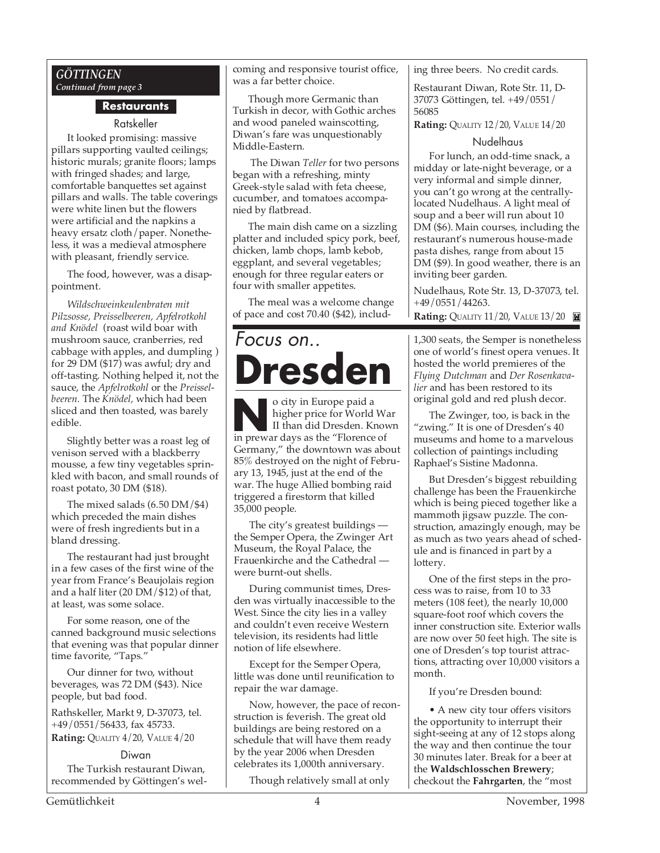#### *GÖTTINGEN Continued from page 3*

#### **Restaurants**

#### Ratskeller

It looked promising: massive pillars supporting vaulted ceilings; historic murals; granite floors; lamps with fringed shades; and large, comfortable banquettes set against pillars and walls. The table coverings were white linen but the flowers were artificial and the napkins a heavy ersatz cloth/paper. Nonetheless, it was a medieval atmosphere with pleasant, friendly service.

The food, however, was a disappointment.

*Wildschweinkeulenbraten mit Pilzsosse, Preisselbeeren, Apfelrotkohl and Knödel* (roast wild boar with mushroom sauce, cranberries, red cabbage with apples, and dumpling ) for 29 DM (\$17) was awful; dry and off-tasting. Nothing helped it, not the sauce, the *Apfelrotkohl* or the *Preisselbeeren.* The *Knödel,* which had been sliced and then toasted, was barely edible.

Slightly better was a roast leg of venison served with a blackberry mousse, a few tiny vegetables sprinkled with bacon, and small rounds of roast potato, 30 DM (\$18).

The mixed salads (6.50 DM/\$4) which preceded the main dishes were of fresh ingredients but in a bland dressing.

The restaurant had just brought in a few cases of the first wine of the year from France's Beaujolais region and a half liter (20 DM/\$12) of that, at least, was some solace.

For some reason, one of the canned background music selections that evening was that popular dinner time favorite, "Taps."

Our dinner for two, without beverages, was 72 DM (\$43). Nice people, but bad food.

Rathskeller, Markt 9, D-37073, tel. +49/0551/56433, fax 45733. **Rating: QUALITY 4/20, VALUE 4/20** 

#### Diwan

The Turkish restaurant Diwan, recommended by Göttingen's welcoming and responsive tourist office, was a far better choice.

Though more Germanic than Turkish in decor, with Gothic arches and wood paneled wainscotting, Diwan's fare was unquestionably Middle-Eastern.

 The Diwan *Teller* for two persons began with a refreshing, minty Greek-style salad with feta cheese, cucumber, and tomatoes accompanied by flatbread.

The main dish came on a sizzling platter and included spicy pork, beef, chicken, lamb chops, lamb kebob, eggplant, and several vegetables; enough for three regular eaters or four with smaller appetites.

The meal was a welcome change of pace and cost 70.40 (\$42), includ-

# Focus on.. **Dresden**

o city in Europe paid a<br>higher price for World W.<br>II than did Dresden. Know<br>in prewar days as the "Florence of o city in Europe paid a higher price for World War II than did Dresden. Known Germany," the downtown was about 85% destroyed on the night of February 13, 1945, just at the end of the war. The huge Allied bombing raid triggered a firestorm that killed 35,000 people.

The city's greatest buildings the Semper Opera, the Zwinger Art Museum, the Royal Palace, the Frauenkirche and the Cathedral were burnt-out shells.

During communist times, Dresden was virtually inaccessible to the West. Since the city lies in a valley and couldn't even receive Western television, its residents had little notion of life elsewhere.

Except for the Semper Opera, little was done until reunification to repair the war damage.

Now, however, the pace of reconstruction is feverish. The great old buildings are being restored on a schedule that will have them ready by the year 2006 when Dresden celebrates its 1,000th anniversary.

Though relatively small at only

ing three beers. No credit cards.

Restaurant Diwan, Rote Str. 11, D-37073 Göttingen, tel. +49/0551/ 56085

**Rating:** QUALITY 12/20, VALUE 14/20

#### Nudelhaus

For lunch, an odd-time snack, a midday or late-night beverage, or a very informal and simple dinner, you can't go wrong at the centrallylocated Nudelhaus. A light meal of soup and a beer will run about 10 DM (\$6). Main courses, including the restaurant's numerous house-made pasta dishes, range from about 15 DM (\$9). In good weather, there is an inviting beer garden.

Nudelhaus, Rote Str. 13, D-37073, tel. +49/0551/44263.

**Rating: QUALITY 11/20, VALUE 13/20** 

1,300 seats, the Semper is nonetheless one of world's finest opera venues. It hosted the world premieres of the *Flying Dutchman* and *Der Rosenkavalier* and has been restored to its original gold and red plush decor.

The Zwinger, too, is back in the "zwing." It is one of Dresden's 40 museums and home to a marvelous collection of paintings including Raphael's Sistine Madonna.

But Dresden's biggest rebuilding challenge has been the Frauenkirche which is being pieced together like a mammoth jigsaw puzzle. The construction, amazingly enough, may be as much as two years ahead of schedule and is financed in part by a lottery.

One of the first steps in the process was to raise, from 10 to 33 meters (108 feet), the nearly 10,000 square-foot roof which covers the inner construction site. Exterior walls are now over 50 feet high. The site is one of Dresden's top tourist attractions, attracting over 10,000 visitors a month.

If you're Dresden bound:

• A new city tour offers visitors the opportunity to interrupt their sight-seeing at any of 12 stops along the way and then continue the tour 30 minutes later. Break for a beer at the **Waldschlosschen Brewery**; checkout the **Fahrgarten**, the "most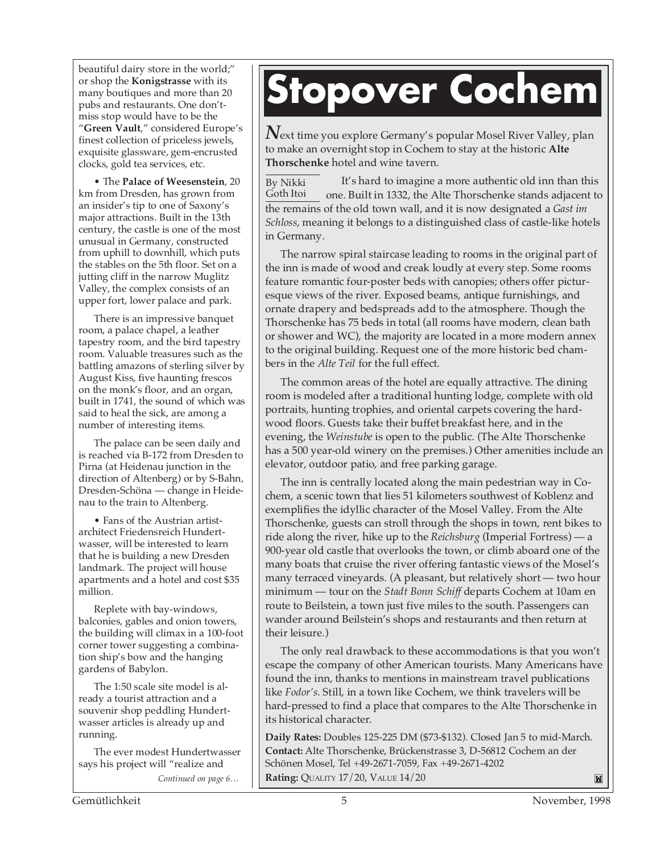beautiful dairy store in the world;" or shop the **Konigstrasse** with its many boutiques and more than 20 pubs and restaurants. One don'tmiss stop would have to be the "**Green Vault**," considered Europe's finest collection of priceless jewels, exquisite glassware, gem-encrusted clocks, gold tea services, etc.

• The **Palace of Weesenstein**, 20 km from Dresden, has grown from an insider's tip to one of Saxony's major attractions. Built in the 13th century, the castle is one of the most unusual in Germany, constructed from uphill to downhill, which puts the stables on the 5th floor. Set on a jutting cliff in the narrow Muglitz Valley, the complex consists of an upper fort, lower palace and park.

There is an impressive banquet room, a palace chapel, a leather tapestry room, and the bird tapestry room. Valuable treasures such as the battling amazons of sterling silver by August Kiss, five haunting frescos on the monk's floor, and an organ, built in 1741, the sound of which was said to heal the sick, are among a number of interesting items.

The palace can be seen daily and is reached via B-172 from Dresden to Pirna (at Heidenau junction in the direction of Altenberg) or by S-Bahn, Dresden-Schöna — change in Heidenau to the train to Altenberg.

• Fans of the Austrian artistarchitect Friedensreich Hundertwasser, will be interested to learn that he is building a new Dresden landmark. The project will house apartments and a hotel and cost \$35 million.

Replete with bay-windows, balconies, gables and onion towers, the building will climax in a 100-foot corner tower suggesting a combination ship's bow and the hanging gardens of Babylon.

The 1:50 scale site model is already a tourist attraction and a souvenir shop peddling Hundertwasser articles is already up and running.

*Continued on page 6…* The ever modest Hundertwasser says his project will "realize and

# **Stopover Cochem**

*N*ext time you explore Germany's popular Mosel River Valley, plan to make an overnight stop in Cochem to stay at the historic **Alte Thorschenke** hotel and wine tavern.

It's hard to imagine a more authentic old inn than this one. Built in 1332, the Alte Thorschenke stands adjacent to the remains of the old town wall, and it is now designated a *Gast im Schloss*, meaning it belongs to a distinguished class of castle-like hotels in Germany. By Nikki Goth Itoi

The narrow spiral staircase leading to rooms in the original part of the inn is made of wood and creak loudly at every step. Some rooms feature romantic four-poster beds with canopies; others offer picturesque views of the river. Exposed beams, antique furnishings, and ornate drapery and bedspreads add to the atmosphere. Though the Thorschenke has 75 beds in total (all rooms have modern, clean bath or shower and WC), the majority are located in a more modern annex to the original building. Request one of the more historic bed chambers in the *Alte Teil* for the full effect.

The common areas of the hotel are equally attractive. The dining room is modeled after a traditional hunting lodge, complete with old portraits, hunting trophies, and oriental carpets covering the hardwood floors. Guests take their buffet breakfast here, and in the evening, the *Weinstube* is open to the public. (The Alte Thorschenke has a 500 year-old winery on the premises.) Other amenities include an elevator, outdoor patio, and free parking garage.

The inn is centrally located along the main pedestrian way in Cochem, a scenic town that lies 51 kilometers southwest of Koblenz and exemplifies the idyllic character of the Mosel Valley. From the Alte Thorschenke, guests can stroll through the shops in town, rent bikes to ride along the river, hike up to the *Reichsburg* (Imperial Fortress) — a 900-year old castle that overlooks the town, or climb aboard one of the many boats that cruise the river offering fantastic views of the Mosel's many terraced vineyards. (A pleasant, but relatively short — two hour minimum — tour on the *Stadt Bonn Schiff* departs Cochem at 10am en route to Beilstein, a town just five miles to the south. Passengers can wander around Beilstein's shops and restaurants and then return at their leisure.)

The only real drawback to these accommodations is that you won't escape the company of other American tourists. Many Americans have found the inn, thanks to mentions in mainstream travel publications like *Fodor's*. Still, in a town like Cochem, we think travelers will be hard-pressed to find a place that compares to the Alte Thorschenke in its historical character.

**Daily Rates:** Doubles 125-225 DM (\$73-\$132). Closed Jan 5 to mid-March. **Contact:** Alte Thorschenke, Brückenstrasse 3, D-56812 Cochem an der Schönen Mosel, Tel +49-2671-7059, Fax +49-2671-4202 **Rating:** QUALITY 17/20, VALUE 14/20  $\blacksquare$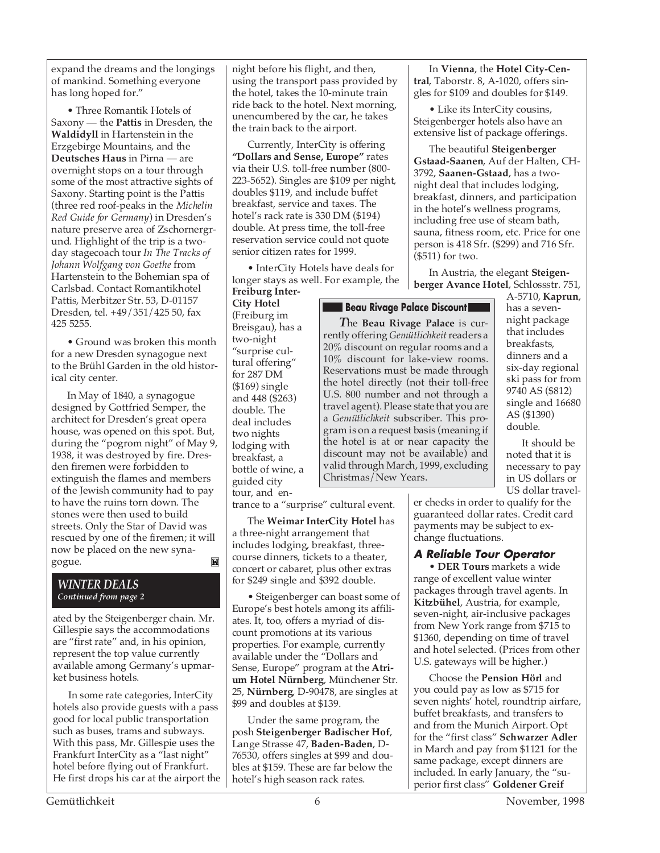expand the dreams and the longings of mankind. Something everyone has long hoped for."

• Three Romantik Hotels of Saxony — the **Pattis** in Dresden, the **Waldidyll** in Hartenstein in the Erzgebirge Mountains, and the **Deutsches Haus** in Pirna — are overnight stops on a tour through some of the most attractive sights of Saxony. Starting point is the Pattis (three red roof-peaks in the *Michelin Red Guide for Germany*) in Dresden's nature preserve area of Zschornergrund. Highlight of the trip is a twoday stagecoach tour *In The Tracks of Johann Wolfgang von Goethe* from Hartenstein to the Bohemian spa of Carlsbad. Contact Romantikhotel Pattis, Merbitzer Str. 53, D-01157 Dresden, tel. +49/351/425 50, fax 425 5255.

• Ground was broken this month for a new Dresden synagogue next to the Brühl Garden in the old historical city center.

In May of 1840, a synagogue designed by Gottfried Semper, the architect for Dresden's great opera house, was opened on this spot. But, during the "pogrom night" of May 9, 1938, it was destroyed by fire. Dresden firemen were forbidden to extinguish the flames and members of the Jewish community had to pay to have the ruins torn down. The stones were then used to build streets. Only the Star of David was rescued by one of the firemen; it will now be placed on the new synagogue. M

#### *WINTER DEALS Continued from page 2*

ated by the Steigenberger chain. Mr. Gillespie says the accommodations are "first rate" and, in his opinion, represent the top value currently available among Germany's upmarket business hotels.

In some rate categories, InterCity hotels also provide guests with a pass good for local public transportation such as buses, trams and subways. With this pass, Mr. Gillespie uses the Frankfurt InterCity as a "last night" hotel before flying out of Frankfurt. He first drops his car at the airport the night before his flight, and then, using the transport pass provided by the hotel, takes the 10-minute train ride back to the hotel. Next morning, unencumbered by the car, he takes the train back to the airport.

Currently, InterCity is offering **"Dollars and Sense, Europe"** rates via their U.S. toll-free number (800- 223-5652). Singles are \$109 per night, doubles \$119, and include buffet breakfast, service and taxes. The hotel's rack rate is 330 DM (\$194) double. At press time, the toll-free reservation service could not quote senior citizen rates for 1999.

• InterCity Hotels have deals for longer stays as well. For example, the

**Freiburg Inter-City Hotel** (Freiburg im Breisgau), has a two-night "surprise cultural offering" for 287 DM (\$169) single and 448 (\$263) double. The deal includes two nights lodging with breakfast, a bottle of wine, a guided city tour, and en-

trance to a "surprise" cultural event.

The **Weimar InterCity Hotel** has a three-night arrangement that includes lodging, breakfast, threecourse dinners, tickets to a theater, concert or cabaret, plus other extras for \$249 single and \$392 double.

• Steigenberger can boast some of Europe's best hotels among its affiliates. It, too, offers a myriad of discount promotions at its various properties. For example, currently available under the "Dollars and Sense, Europe" program at the **Atrium Hotel Nürnberg**, Münchener Str. 25, **Nürnberg**, D-90478, are singles at \$99 and doubles at \$139.

Under the same program, the posh **Steigenberger Badischer Hof**, Lange Strasse 47, **Baden-Baden**, D-76530, offers singles at \$99 and doubles at \$159. These are far below the hotel's high season rack rates.

In **Vienna**, the **Hotel City-Central**, Taborstr. 8, A-1020, offers singles for \$109 and doubles for \$149.

• Like its InterCity cousins, Steigenberger hotels also have an extensive list of package offerings.

The beautiful **Steigenberger Gstaad-Saanen**, Auf der Halten, CH-3792, **Saanen-Gstaad**, has a twonight deal that includes lodging, breakfast, dinners, and participation in the hotel's wellness programs, including free use of steam bath, sauna, fitness room, etc. Price for one person is 418 Sfr. (\$299) and 716 Sfr. (\$511) for two.

In Austria, the elegant **Steigenberger Avance Hotel**, Schlossstr. 751,

#### **Beau Rivage Palace Discount**

*T*he **Beau Rivage Palace** is currently offering *Gemütlichkeit* readers a 20% discount on regular rooms and a 10% discount for lake-view rooms. Reservations must be made through the hotel directly (not their toll-free U.S. 800 number and not through a travel agent). Please state that you are a *Gemütlichkeit* subscriber. This program is on a request basis (meaning if the hotel is at or near capacity the discount may not be available) and valid through March, 1999, excluding Christmas/New Years.

A-5710, **Kaprun**, has a sevennight package that includes breakfasts, dinners and a six-day regional ski pass for from 9740 AS (\$812) single and 16680 AS (\$1390) double.

It should be noted that it is necessary to pay in US dollars or US dollar travel-

er checks in order to qualify for the guaranteed dollar rates. Credit card payments may be subject to exchange fluctuations.

#### **A Reliable Tour Operator**

• **DER Tours** markets a wide range of excellent value winter packages through travel agents. In **Kitzbühel**, Austria, for example, seven-night, air-inclusive packages from New York range from \$715 to \$1360, depending on time of travel and hotel selected. (Prices from other U.S. gateways will be higher.)

Choose the **Pension Hörl** and you could pay as low as \$715 for seven nights' hotel, roundtrip airfare, buffet breakfasts, and transfers to and from the Munich Airport. Opt for the "first class" **Schwarzer Adler** in March and pay from \$1121 for the same package, except dinners are included. In early January, the "superior first class" **Goldener Greif**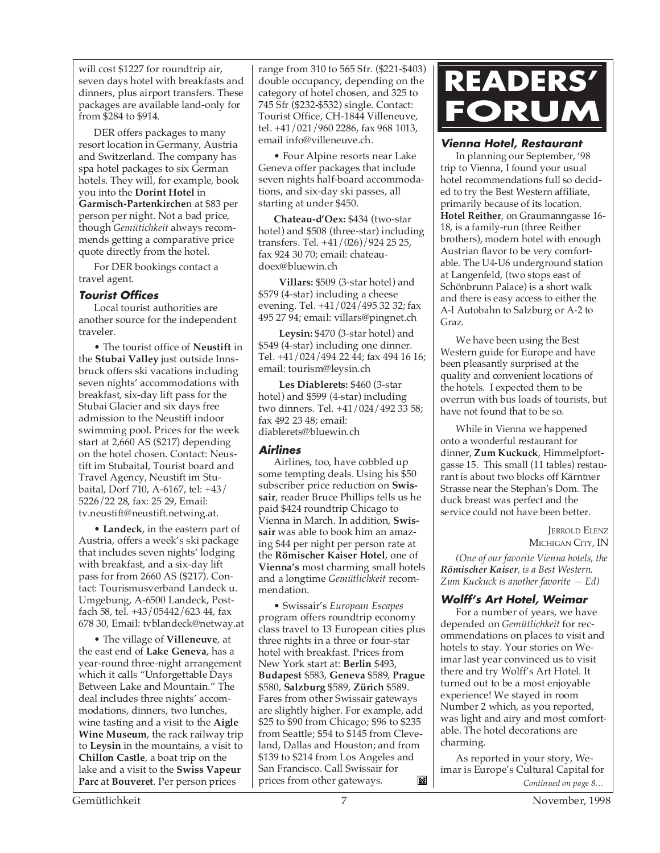will cost \$1227 for roundtrip air, seven days hotel with breakfasts and dinners, plus airport transfers. These packages are available land-only for from \$284 to \$914.

DER offers packages to many resort location in Germany, Austria and Switzerland. The company has spa hotel packages to six German hotels. They will, for example, book you into the **Dorint Hotel** in **Garmisch-Partenkirche**n at \$83 per person per night. Not a bad price, though *Gemütichkeit* always recommends getting a comparative price quote directly from the hotel.

For DER bookings contact a travel agent.

#### **Tourist Offices**

Local tourist authorities are another source for the independent traveler.

• The tourist office of **Neustift** in the **Stubai Valley** just outside Innsbruck offers ski vacations including seven nights' accommodations with breakfast, six-day lift pass for the Stubai Glacier and six days free admission to the Neustift indoor swimming pool. Prices for the week start at 2,660 AS (\$217) depending on the hotel chosen. Contact: Neustift im Stubaital, Tourist board and Travel Agency, Neustift im Stubaital, Dorf 710, A-6167, tel: +43/ 5226/22 28, fax: 25 29, Email: tv.neustift@neustift.netwing.at.

• **Landeck**, in the eastern part of Austria, offers a week's ski package that includes seven nights' lodging with breakfast, and a six-day lift pass for from 2660 AS (\$217). Contact: Tourismusverband Landeck u. Umgebung, A-6500 Landeck, Postfach 58, tel. +43/05442/623 44, fax 678 30, Email: tvblandeck@netway.at

• The village of **Villeneuve**, at the east end of **Lake Geneva**, has a year-round three-night arrangement which it calls "Unforgettable Days Between Lake and Mountain." The deal includes three nights' accommodations, dinners, two lunches, wine tasting and a visit to the **Aigle Wine Museum**, the rack railway trip to **Leysin** in the mountains, a visit to **Chillon Castle**, a boat trip on the lake and a visit to the **Swiss Vapeur Parc** at **Bouveret**. Per person prices

range from 310 to 565 Sfr. (\$221-\$403) double occupancy, depending on the category of hotel chosen, and 325 to 745 Sfr (\$232-\$532) single. Contact: Tourist Office, CH-1844 Villeneuve, tel. +41/021/960 2286, fax 968 1013, email info@villeneuve.ch.

• Four Alpine resorts near Lake Geneva offer packages that include seven nights half-board accommodations, and six-day ski passes, all starting at under \$450.

**Chateau-d'Oex:** \$434 (two-star hotel) and \$508 (three-star) including transfers. Tel. +41/026)/924 25 25, fax 924 30 70; email: chateaudoex@bluewin.ch

 **Villars:** \$509 (3-star hotel) and \$579 (4-star) including a cheese evening. Tel. +41/024/495 32 32; fax 495 27 94; email: villars@pingnet.ch

 **Leysin:** \$470 (3-star hotel) and \$549 (4-star) including one dinner. Tel. +41/024/494 22 44; fax 494 16 16; email: tourism@leysin.ch

 **Les Diablerets:** \$460 (3-star hotel) and \$599 (4-star) including two dinners. Tel. +41/024/492 33 58; fax 492 23 48; email: diablerets@bluewin.ch

#### **Airlines**

Airlines, too, have cobbled up some tempting deals. Using his \$50 subscriber price reduction on **Swissair**, reader Bruce Phillips tells us he paid \$424 roundtrip Chicago to Vienna in March. In addition, **Swissair** was able to book him an amazing \$44 per night per person rate at the **Römischer Kaiser Hotel**, one of **Vienna's** most charming small hotels and a longtime *Gemütlichkeit* recommendation.

• Swissair's *European Escapes* program offers roundtrip economy class travel to 13 European cities plus three nights in a three or four-star hotel with breakfast. Prices from New York start at: **Berlin** \$493, **Budapest** \$583, **Geneva** \$589, **Prague** \$580, **Salzburg** \$589, **Zürich** \$589. Fares from other Swissair gateways are slightly higher. For example, add \$25 to \$90 from Chicago; \$96 to \$235 from Seattle; \$54 to \$145 from Cleveland, Dallas and Houston; and from \$139 to \$214 from Los Angeles and San Francisco. Call Swissair for prices from other gateways. Ľ.



#### **Vienna Hotel, Restaurant**

In planning our September, '98 trip to Vienna, I found your usual hotel recommendations full so decided to try the Best Western affiliate, primarily because of its location. **Hotel Reither**, on Graumanngasse 16- 18, is a family-run (three Reither brothers), modern hotel with enough Austrian flavor to be very comfortable. The U4-U6 underground station at Langenfeld, (two stops east of Schönbrunn Palace) is a short walk and there is easy access to either the A-l Autobahn to Salzburg or A-2 to Graz.

We have been using the Best Western guide for Europe and have been pleasantly surprised at the quality and convenient locations of the hotels. I expected them to be overrun with bus loads of tourists, but have not found that to be so.

While in Vienna we happened onto a wonderful restaurant for dinner, **Zum Kuckuck**, Himmelpfortgasse 15. This small (11 tables) restaurant is about two blocks off Kärntner Strasse near the Stephan's Dom. The duck breast was perfect and the service could not have been better.

> JERROLD ELENZ MICHIGAN CITY, IN

*(One of our favorite Vienna hotels, the Römischer Kaiser, is a Best Western. Zum Kuckuck is another favorite — Ed)*

#### **Wolff's Art Hotel, Weimar**

For a number of years, we have depended on *Gemütlichkeit* for recommendations on places to visit and hotels to stay. Your stories on Weimar last year convinced us to visit there and try Wolff's Art Hotel. It turned out to be a most enjoyable experience! We stayed in room Number 2 which, as you reported, was light and airy and most comfortable. The hotel decorations are charming.

*Continued on page 8…* As reported in your story, Weimar is Europe's Cultural Capital for